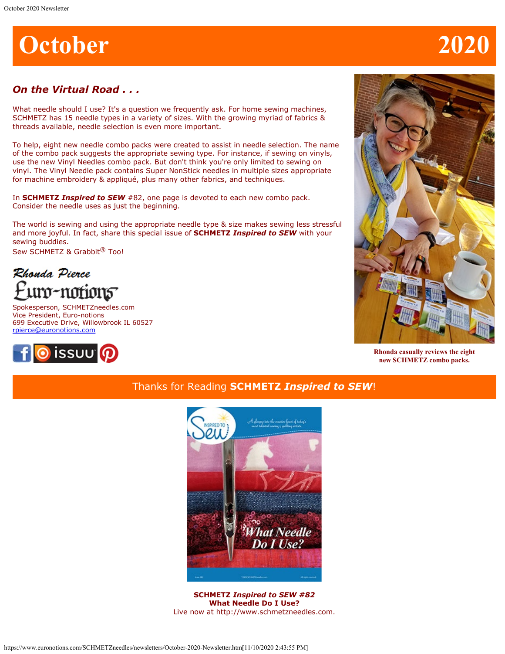# **October 2020**

# *On the Virtual Road . . .*

What needle should I use? It's a question we frequently ask. For home sewing machines, SCHMETZ has 15 needle types in a variety of sizes. With the growing myriad of fabrics & threads available, needle selection is even more important.

To help, eight new needle combo packs were created to assist in needle selection. The name of the combo pack suggests the appropriate sewing type. For instance, if sewing on vinyls, use the new Vinyl Needles combo pack. But don't think you're only limited to sewing on vinyl. The Vinyl Needle pack contains Super NonStick needles in multiple sizes appropriate for machine embroidery & appliqué, plus many other fabrics, and techniques.

In **SCHMETZ** *Inspired to SEW* #82, one page is devoted to each new combo pack. Consider the needle uses as just the beginning.

The world is sewing and using the appropriate needle type & size makes sewing less stressful and more joyful. In fact, share this special issue of **SCHMETZ** *Inspired to SEW* with your sewing buddies.

Sew SCHMETZ & Grabbit<sup>®</sup> Too!

Rhonda Pierce uro-notions

Spokesperson, SCHMETZneedles.com Vice President, Euro-notions 699 Executive Drive, Willowbrook IL 60527 [rpierce@euronotions.com](mailto:rpierce@euronotions.com)





**Rhonda casually reviews the eight new SCHMETZ combo packs.**

# Thanks for Reading **SCHMETZ** *Inspired to SEW*!



**SCHMETZ** *Inspired to SEW #82* **What Needle Do I Use?** Live now at [http://www.schmetzneedles.com](http://www.schmetzneedles.com/archived-digital-magazines/).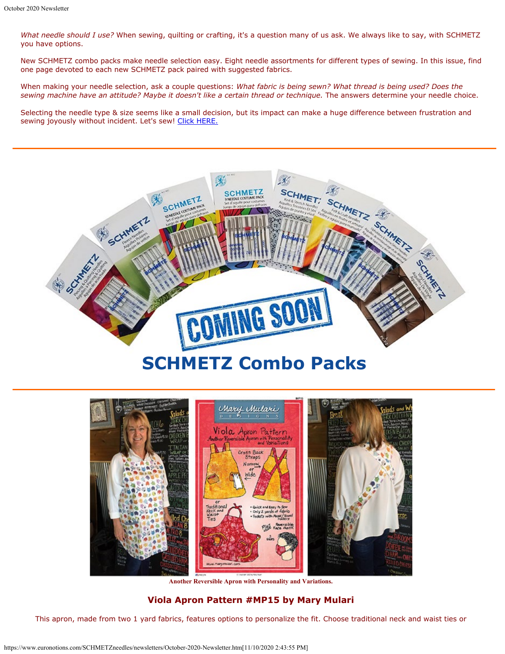*What needle should I use?* When sewing, quilting or crafting, it's a question many of us ask. We always like to say, with SCHMETZ you have options.

New SCHMETZ combo packs make needle selection easy. Eight needle assortments for different types of sewing. In this issue, find one page devoted to each new SCHMETZ pack paired with suggested fabrics.

When making your needle selection, ask a couple questions: *What fabric is being sewn? What thread is being used? Does the sewing machine have an attitude? Maybe it doesn't like a certain thread or technique.* The answers determine your needle choice.

Selecting the needle type & size seems like a small decision, but its impact can make a huge difference between frustration and sewing joyously without incident. Let's sew! [Click HERE.](https://issuu.com/schmetzneedles/docs/its82-oct20?fr=sNzg1NjE3NTM3)





**Another Reversible Apron with Personality and Variations.**

### **Viola Apron Pattern #MP15 by Mary Mulari**

This apron, made from two 1 yard fabrics, features options to personalize the fit. Choose traditional neck and waist ties or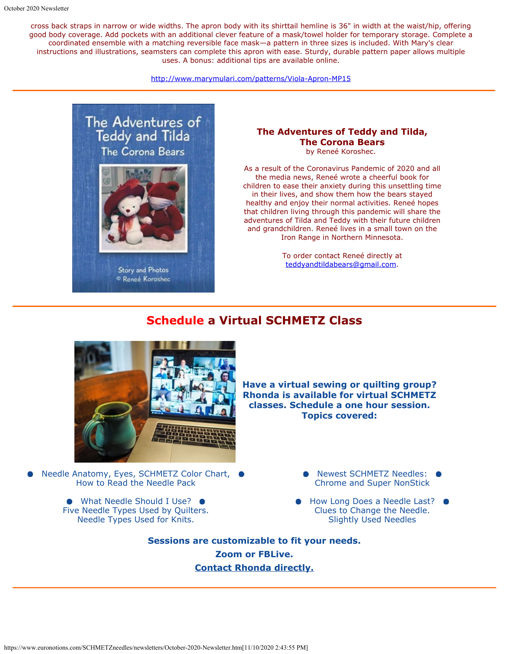cross back straps in narrow or wide widths. The apron body with its shirttail hemline is 36" in width at the waist/hip, offering good body coverage. Add pockets with an additional clever feature of a mask/towel holder for temporary storage. Complete a coordinated ensemble with a matching reversible face mask—a pattern in three sizes is included. With Mary's clear instructions and illustrations, seamsters can complete this apron with ease. Sturdy, durable pattern paper allows multiple uses. A bonus: additional tips are available online.

<http://www.marymulari.com/patterns/Viola-Apron-MP15>



**Story and Photos** <sup>O</sup> Reneé Koroshec

### **The Adventures of Teddy and Tilda, The Corona Bears**

by Reneé Koroshec.

As a result of the Coronavirus Pandemic of 2020 and all the media news, Reneé wrote a cheerful book for children to ease their anxiety during this unsettling time in their lives, and show them how the bears stayed healthy and enjoy their normal activities. Reneé hopes that children living through this pandemic will share the adventures of Tilda and Teddy with their future children and grandchildren. Reneé lives in a small town on the Iron Range in Northern Minnesota.

> To order contact Reneé directly at [teddyandtildabears@gmail.com](mailto:teddyandtildabears@gmail.com).

# **Schedule a Virtual SCHMETZ Class**



Needle Anatomy, Eyes, SCHMETZ Color Chart, ● How to Read the Needle Pack

> ● What Needle Should I Use? ● Five Needle Types Used by Quilters. Needle Types Used for Knits.

**Have a virtual sewing or quilting group? Rhonda is available for virtual SCHMETZ classes. Schedule a one hour session. Topics covered:**

> ● Newest SCHMETZ Needles: ● Chrome and Super NonStick

How Long Does a Needle Last?  $\bullet$ Clues to Change the Needle. Slightly Used Needles

**Sessions are customizable to fit your needs. Zoom or FBLive. [Contact Rhonda directly.](mailto:rpierce@euronotions.com)**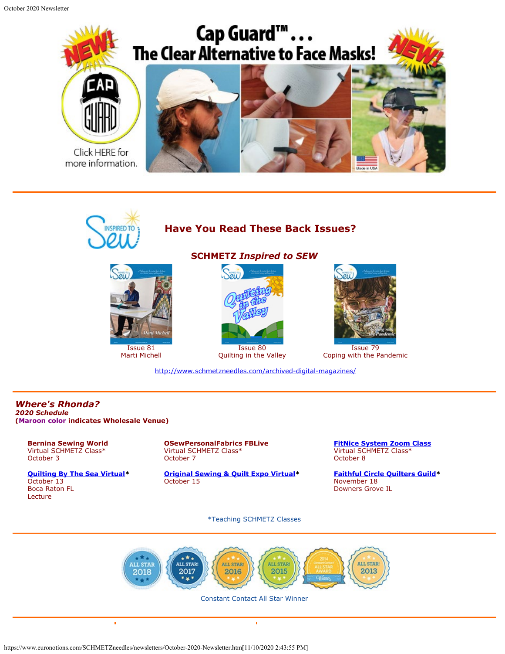October 2020 Newsletter





Issue 81 Marti Michell

# **Have You Read These Back Issues?**

**SCHMETZ** *Inspired to SEW*



Quilting in the Valley



Issue 79 Coping with the Pandemic

<http://www.schmetzneedles.com/archived-digital-magazines/>

#### *Where's Rhonda? 2020 Schedule* **(Maroon color indicates Wholesale Venue)**

**Bernina Sewing World** Virtual SCHMETZ Class\* October 3

**[Quilting By The Sea Virtual](http://www.quiltguildbythesea.com/)\*** October 13 Boca Raton FL Lecture

**OSewPersonalFabrics FBLive** Virtual SCHMETZ Class\* October 7

**[Original Sewing & Quilt Expo Virtual](https://sewingexpo.com/)\*** October 15

**[FitNice System Zoom Class](https://fitnicesystem.com/)** Virtual SCHMETZ Class\* October 8

**[Faithful Circle Quilters Guild](http://www.fcquilters.com/)\*** November 18 Downers Grove IL

\*Teaching SCHMETZ Classes



#### Constant Contact All Star Winner

ï

https://www.euronotions.com/SCHMETZneedles/newsletters/October-2020-Newsletter.htm[11/10/2020 2:43:55 PM]

 $\blacksquare$